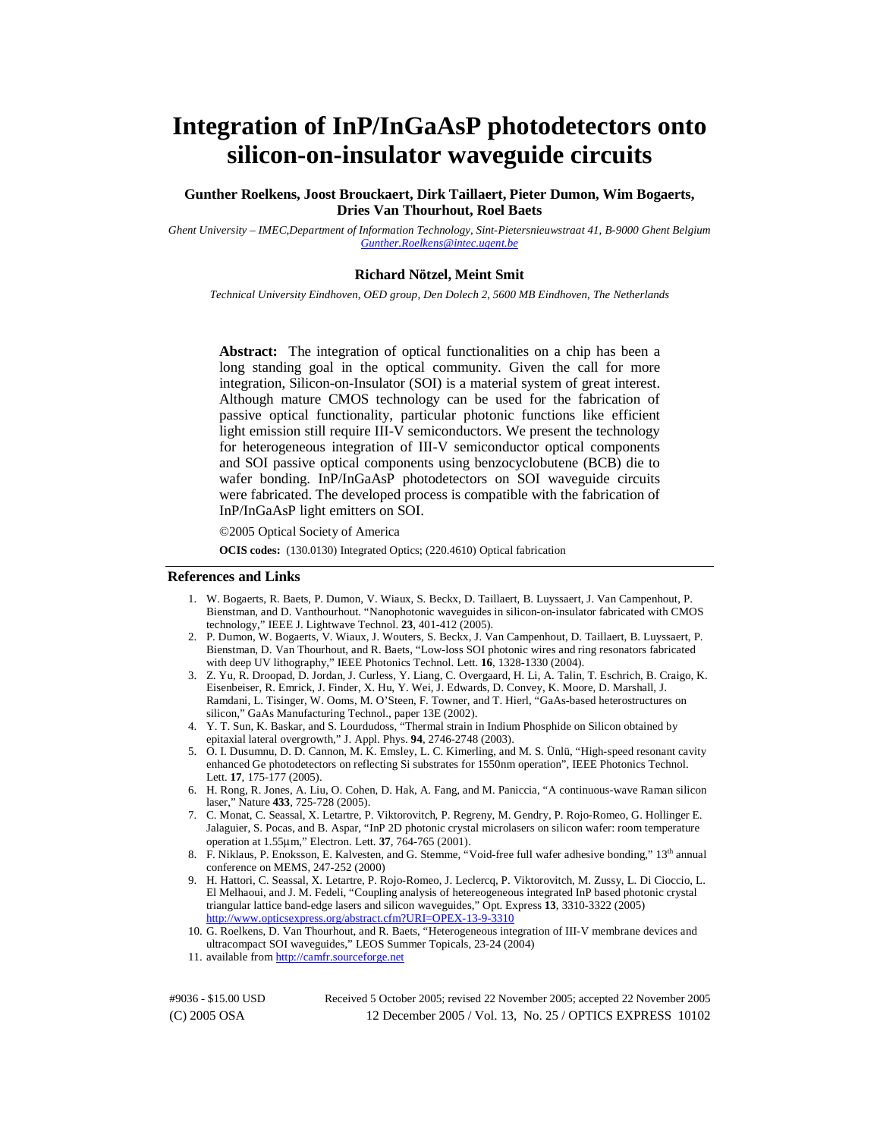# **Integration of InP/InGaAsP photodetectors onto silicon-on-insulator waveguide circuits**

**Gunther Roelkens, Joost Brouckaert, Dirk Taillaert, Pieter Dumon, Wim Bogaerts, Dries Van Thourhout, Roel Baets** 

*Ghent University – IMEC,Department of Information Technology, Sint-Pietersnieuwstraat 41, B-9000 Ghent Belgium [Gunther.Roelkens@intec.ugent.be](mailto:Gunther.Roelkens@intec.ugent.be)*

#### **Richard Nötzel, Meint Smit**

*Technical University Eindhoven, OED group, Den Dolech 2, 5600 MB Eindhoven, The Netherlands* 

**Abstract:** The integration of optical functionalities on a chip has been a long standing goal in the optical community. Given the call for more integration, Silicon-on-Insulator (SOI) is a material system of great interest. Although mature CMOS technology can be used for the fabrication of passive optical functionality, particular photonic functions like efficient light emission still require III-V semiconductors. We present the technology for heterogeneous integration of III-V semiconductor optical components and SOI passive optical components using benzocyclobutene (BCB) die to wafer bonding. InP/InGaAsP photodetectors on SOI waveguide circuits were fabricated. The developed process is compatible with the fabrication of InP/InGaAsP light emitters on SOI.

©2005 Optical Society of America

**OCIS codes:** (130.0130) Integrated Optics; (220.4610) Optical fabrication

#### **References and Links**

- 1. W. Bogaerts, R. Baets, P. Dumon, V. Wiaux, S. Beckx, D. Taillaert, B. Luyssaert, J. Van Campenhout, P. Bienstman, and D. Vanthourhout. "Nanophotonic waveguides in silicon-on-insulator fabricated with CMOS technology," IEEE J. Lightwave Technol. **23**, 401-412 (2005).
- 2. P. Dumon, W. Bogaerts, V. Wiaux, J. Wouters, S. Beckx, J. Van Campenhout, D. Taillaert, B. Luyssaert, P. Bienstman, D. Van Thourhout, and R. Baets, "Low-loss SOI photonic wires and ring resonators fabricated with deep UV lithography," IEEE Photonics Technol. Lett. **16**, 1328-1330 (2004).
- 3. Z. Yu, R. Droopad, D. Jordan, J. Curless, Y. Liang, C. Overgaard, H. Li, A. Talin, T. Eschrich, B. Craigo, K. Eisenbeiser, R. Emrick, J. Finder, X. Hu, Y. Wei, J. Edwards, D. Convey, K. Moore, D. Marshall, J. Ramdani, L. Tisinger, W. Ooms, M. O'Steen, F. Towner, and T. Hierl, "GaAs-based heterostructures on silicon," GaAs Manufacturing Technol., paper 13E (2002).
- 4. Y. T. Sun, K. Baskar, and S. Lourdudoss, "Thermal strain in Indium Phosphide on Silicon obtained by epitaxial lateral overgrowth," J. Appl. Phys. **94**, 2746-2748 (2003).
- 5. O. I. Dusumnu, D. D. Cannon, M. K. Emsley, L. C. Kimerling, and M. S. Ünlü, "High-speed resonant cavity enhanced Ge photodetectors on reflecting Si substrates for 1550nm operation", IEEE Photonics Technol. Lett. **17**, 175-177 (2005).
- 6. H. Rong, R. Jones, A. Liu, O. Cohen, D. Hak, A. Fang, and M. Paniccia, "A continuous-wave Raman silicon laser," Nature **433**, 725-728 (2005).
- 7. C. Monat, C. Seassal, X. Letartre, P. Viktorovitch, P. Regreny, M. Gendry, P. Rojo-Romeo, G. Hollinger E. Jalaguier, S. Pocas, and B. Aspar, "InP 2D photonic crystal microlasers on silicon wafer: room temperature operation at 1.55μm," Electron. Lett. **37**, 764-765 (2001).
- 8. F. Niklaus, P. Enoksson, E. Kalvesten, and G. Stemme, "Void-free full wafer adhesive bonding," 13<sup>th</sup> annual conference on MEMS, 247-252 (2000)
- 9. H. Hattori, C. Seassal, X. Letartre, P. Rojo-Romeo, J. Leclercq, P. Viktorovitch, M. Zussy, L. Di Cioccio, L. El Melhaoui, and J. M. Fedeli, "Coupling analysis of hetereogeneous integrated InP based photonic crystal triangular lattice band-edge lasers and silicon waveguides," Opt. Express **13**, 3310-3322 (2005) <http://www.opticsexpress.org/abstract.cfm?URI=OPEX-13-9-3310>
- 10. G. Roelkens, D. Van Thourhout, and R. Baets, "Heterogeneous integration of III-V membrane devices and ultracompact SOI waveguides," LEOS Summer Topicals, 23-24 (2004)
- 11. available from <http://camfr.sourceforge.net>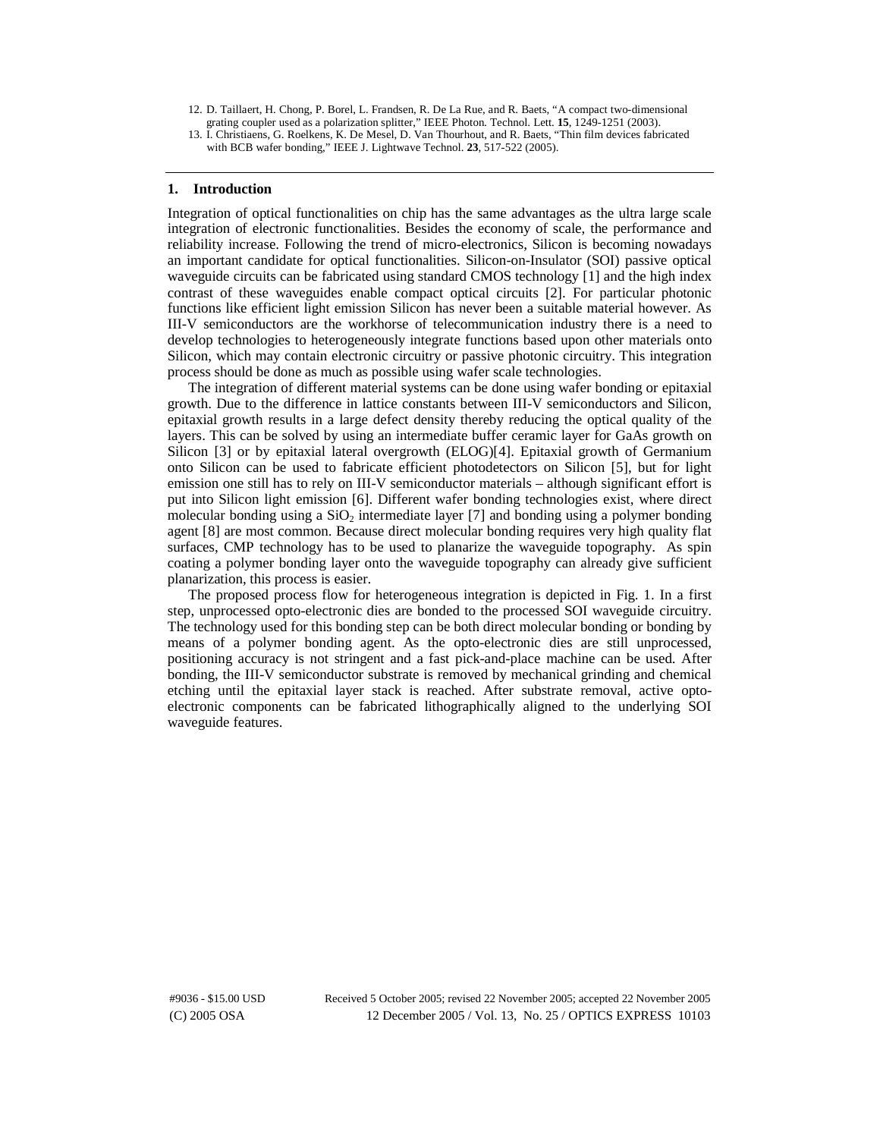- 12. D. Taillaert, H. Chong, P. Borel, L. Frandsen, R. De La Rue, and R. Baets, "A compact two-dimensional grating coupler used as a polarization splitter," IEEE Photon. Technol. Lett. **15**, 1249-1251 (2003).
- 13. I. Christiaens, G. Roelkens, K. De Mesel, D. Van Thourhout, and R. Baets, "Thin film devices fabricated with BCB wafer bonding," IEEE J. Lightwave Technol. **23**, 517-522 (2005).

### **1. Introduction**

Integration of optical functionalities on chip has the same advantages as the ultra large scale integration of electronic functionalities. Besides the economy of scale, the performance and reliability increase. Following the trend of micro-electronics, Silicon is becoming nowadays an important candidate for optical functionalities. Silicon-on-Insulator (SOI) passive optical waveguide circuits can be fabricated using standard CMOS technology [1] and the high index contrast of these waveguides enable compact optical circuits [2]. For particular photonic functions like efficient light emission Silicon has never been a suitable material however. As III-V semiconductors are the workhorse of telecommunication industry there is a need to develop technologies to heterogeneously integrate functions based upon other materials onto Silicon, which may contain electronic circuitry or passive photonic circuitry. This integration process should be done as much as possible using wafer scale technologies.

The integration of different material systems can be done using wafer bonding or epitaxial growth. Due to the difference in lattice constants between III-V semiconductors and Silicon, epitaxial growth results in a large defect density thereby reducing the optical quality of the layers. This can be solved by using an intermediate buffer ceramic layer for GaAs growth on Silicon [3] or by epitaxial lateral overgrowth (ELOG)[4]. Epitaxial growth of Germanium onto Silicon can be used to fabricate efficient photodetectors on Silicon [5], but for light emission one still has to rely on III-V semiconductor materials – although significant effort is put into Silicon light emission [6]. Different wafer bonding technologies exist, where direct molecular bonding using a  $SiO<sub>2</sub>$  intermediate layer [7] and bonding using a polymer bonding agent [8] are most common. Because direct molecular bonding requires very high quality flat surfaces, CMP technology has to be used to planarize the waveguide topography. As spin coating a polymer bonding layer onto the waveguide topography can already give sufficient planarization, this process is easier.

The proposed process flow for heterogeneous integration is depicted in Fig. 1. In a first step, unprocessed opto-electronic dies are bonded to the processed SOI waveguide circuitry. The technology used for this bonding step can be both direct molecular bonding or bonding by means of a polymer bonding agent. As the opto-electronic dies are still unprocessed, positioning accuracy is not stringent and a fast pick-and-place machine can be used. After bonding, the III-V semiconductor substrate is removed by mechanical grinding and chemical etching until the epitaxial layer stack is reached. After substrate removal, active optoelectronic components can be fabricated lithographically aligned to the underlying SOI waveguide features.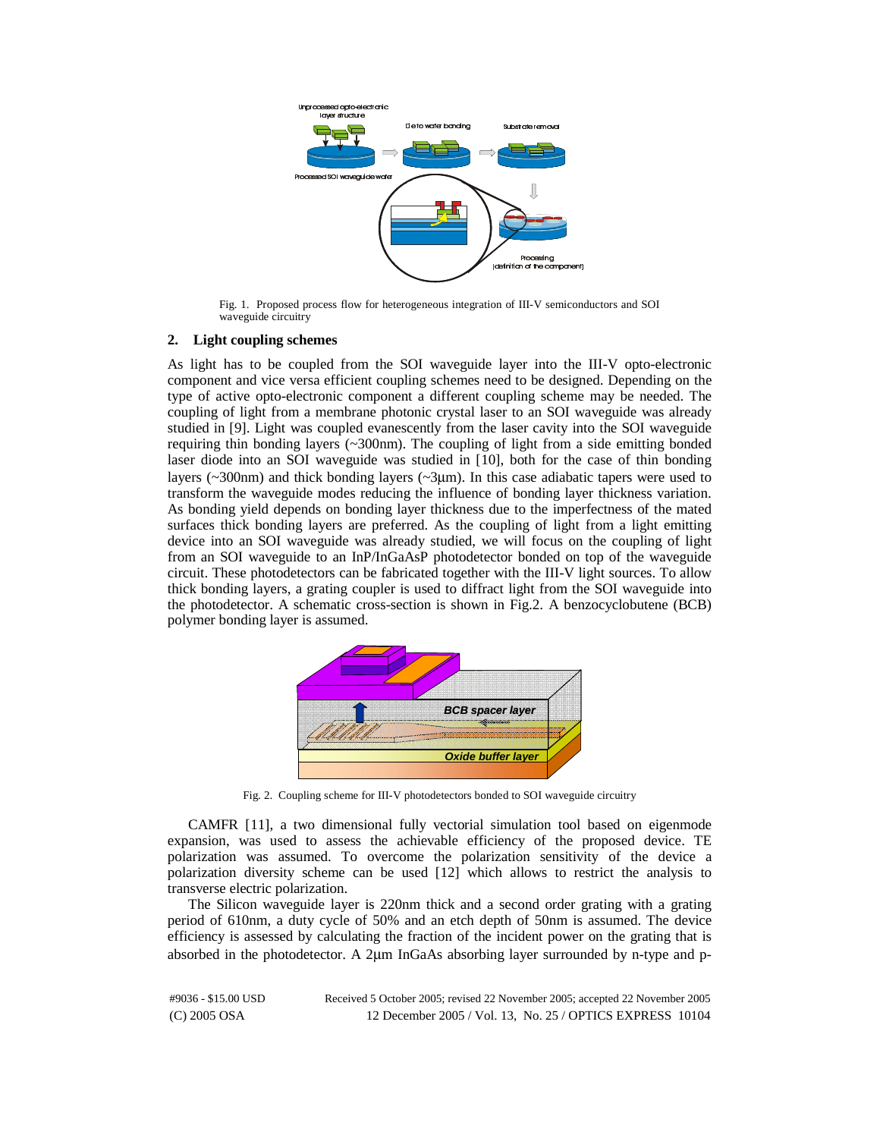

Fig. 1. Proposed process flow for heterogeneous integration of III-V semiconductors and SOI waveguide circuitry

## **2. Light coupling schemes**

As light has to be coupled from the SOI waveguide layer into the III-V opto-electronic component and vice versa efficient coupling schemes need to be designed. Depending on the type of active opto-electronic component a different coupling scheme may be needed. The coupling of light from a membrane photonic crystal laser to an SOI waveguide was already studied in [9]. Light was coupled evanescently from the laser cavity into the SOI waveguide requiring thin bonding layers (~300nm). The coupling of light from a side emitting bonded laser diode into an SOI waveguide was studied in [10], both for the case of thin bonding layers ( $\sim$ 300nm) and thick bonding layers ( $\sim$ 3 $\mu$ m). In this case adiabatic tapers were used to transform the waveguide modes reducing the influence of bonding layer thickness variation. As bonding yield depends on bonding layer thickness due to the imperfectness of the mated surfaces thick bonding layers are preferred. As the coupling of light from a light emitting device into an SOI waveguide was already studied, we will focus on the coupling of light from an SOI waveguide to an InP/InGaAsP photodetector bonded on top of the waveguide circuit. These photodetectors can be fabricated together with the III-V light sources. To allow thick bonding layers, a grating coupler is used to diffract light from the SOI waveguide into the photodetector. A schematic cross-section is shown in Fig.2. A benzocyclobutene (BCB) polymer bonding layer is assumed.



Fig. 2. Coupling scheme for III-V photodetectors bonded to SOI waveguide circuitry

CAMFR [11], a two dimensional fully vectorial simulation tool based on eigenmode expansion, was used to assess the achievable efficiency of the proposed device. TE polarization was assumed. To overcome the polarization sensitivity of the device a polarization diversity scheme can be used [12] which allows to restrict the analysis to transverse electric polarization.

The Silicon waveguide layer is 220nm thick and a second order grating with a grating period of 610nm, a duty cycle of 50% and an etch depth of 50nm is assumed. The device efficiency is assessed by calculating the fraction of the incident power on the grating that is absorbed in the photodetector. A 2μm InGaAs absorbing layer surrounded by n-type and p-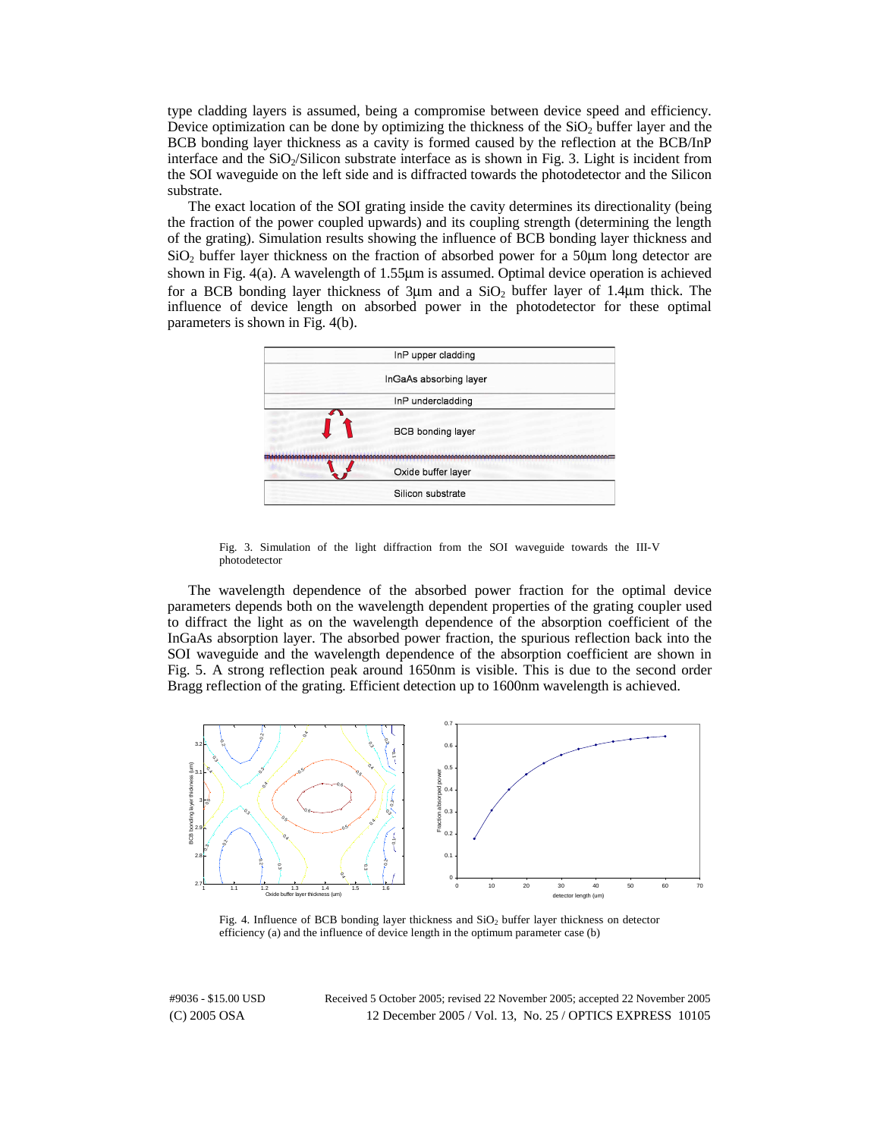type cladding layers is assumed, being a compromise between device speed and efficiency. Device optimization can be done by optimizing the thickness of the  $SiO<sub>2</sub>$  buffer layer and the BCB bonding layer thickness as a cavity is formed caused by the reflection at the BCB/InP interface and the  $SiO<sub>2</sub>/Silicon$  substrate interface as is shown in Fig. 3. Light is incident from the SOI waveguide on the left side and is diffracted towards the photodetector and the Silicon substrate.

The exact location of the SOI grating inside the cavity determines its directionality (being the fraction of the power coupled upwards) and its coupling strength (determining the length of the grating). Simulation results showing the influence of BCB bonding layer thickness and  $SiO<sub>2</sub>$  buffer layer thickness on the fraction of absorbed power for a 50 $\mu$ m long detector are shown in Fig. 4(a). A wavelength of 1.55μm is assumed. Optimal device operation is achieved for a BCB bonding layer thickness of  $3\mu$ m and a  $SiO<sub>2</sub>$  buffer layer of 1.4 $\mu$ m thick. The influence of device length on absorbed power in the photodetector for these optimal parameters is shown in Fig. 4(b).



Fig. 3. Simulation of the light diffraction from the SOI waveguide towards the III-V photodetector

The wavelength dependence of the absorbed power fraction for the optimal device parameters depends both on the wavelength dependent properties of the grating coupler used to diffract the light as on the wavelength dependence of the absorption coefficient of the InGaAs absorption layer. The absorbed power fraction, the spurious reflection back into the SOI waveguide and the wavelength dependence of the absorption coefficient are shown in Fig. 5. A strong reflection peak around 1650nm is visible. This is due to the second order Bragg reflection of the grating. Efficient detection up to 1600nm wavelength is achieved.



Fig. 4. Influence of BCB bonding layer thickness and SiO<sub>2</sub> buffer layer thickness on detector efficiency (a) and the influence of device length in the optimum parameter case (b)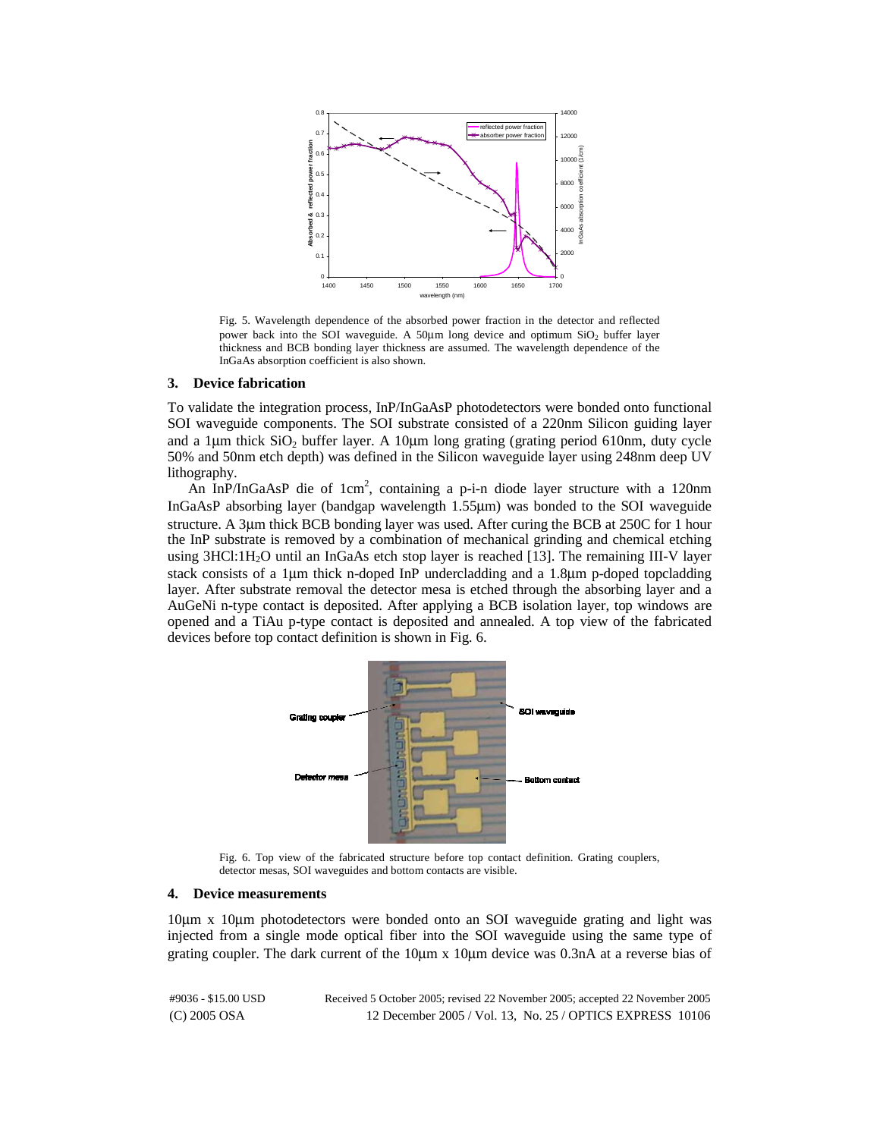

Fig. 5. Wavelength dependence of the absorbed power fraction in the detector and reflected power back into the SOI waveguide. A 50 $\mu$ m long device and optimum SiO<sub>2</sub> buffer layer thickness and BCB bonding layer thickness are assumed. The wavelength dependence of the InGaAs absorption coefficient is also shown.

#### **3. Device fabrication**

To validate the integration process, InP/InGaAsP photodetectors were bonded onto functional SOI waveguide components. The SOI substrate consisted of a 220nm Silicon guiding layer and a 1 $\mu$ m thick SiO<sub>2</sub> buffer layer. A 10 $\mu$ m long grating (grating period 610nm, duty cycle 50% and 50nm etch depth) was defined in the Silicon waveguide layer using 248nm deep UV lithography.

An InP/InGaAsP die of 1cm<sup>2</sup>, containing a p-i-n diode layer structure with a 120nm InGaAsP absorbing layer (bandgap wavelength 1.55μm) was bonded to the SOI waveguide structure. A 3μm thick BCB bonding layer was used. After curing the BCB at 250C for 1 hour the InP substrate is removed by a combination of mechanical grinding and chemical etching using 3HCl:1H2O until an InGaAs etch stop layer is reached [13]. The remaining III-V layer stack consists of a 1μm thick n-doped InP undercladding and a 1.8μm p-doped topcladding layer. After substrate removal the detector mesa is etched through the absorbing layer and a AuGeNi n-type contact is deposited. After applying a BCB isolation layer, top windows are opened and a TiAu p-type contact is deposited and annealed. A top view of the fabricated devices before top contact definition is shown in Fig. 6.



Fig. 6. Top view of the fabricated structure before top contact definition. Grating couplers, detector mesas, SOI waveguides and bottom contacts are visible.

#### **4. Device measurements**

10μm x 10μm photodetectors were bonded onto an SOI waveguide grating and light was injected from a single mode optical fiber into the SOI waveguide using the same type of grating coupler. The dark current of the 10μm x 10μm device was 0.3nA at a reverse bias of

| #9036 - \$15.00 USD | Received 5 October 2005; revised 22 November 2005; accepted 22 November 2005 |  |
|---------------------|------------------------------------------------------------------------------|--|
| $(C)$ 2005 OSA      | 12 December 2005 / Vol. 13, No. 25 / OPTICS EXPRESS 10106                    |  |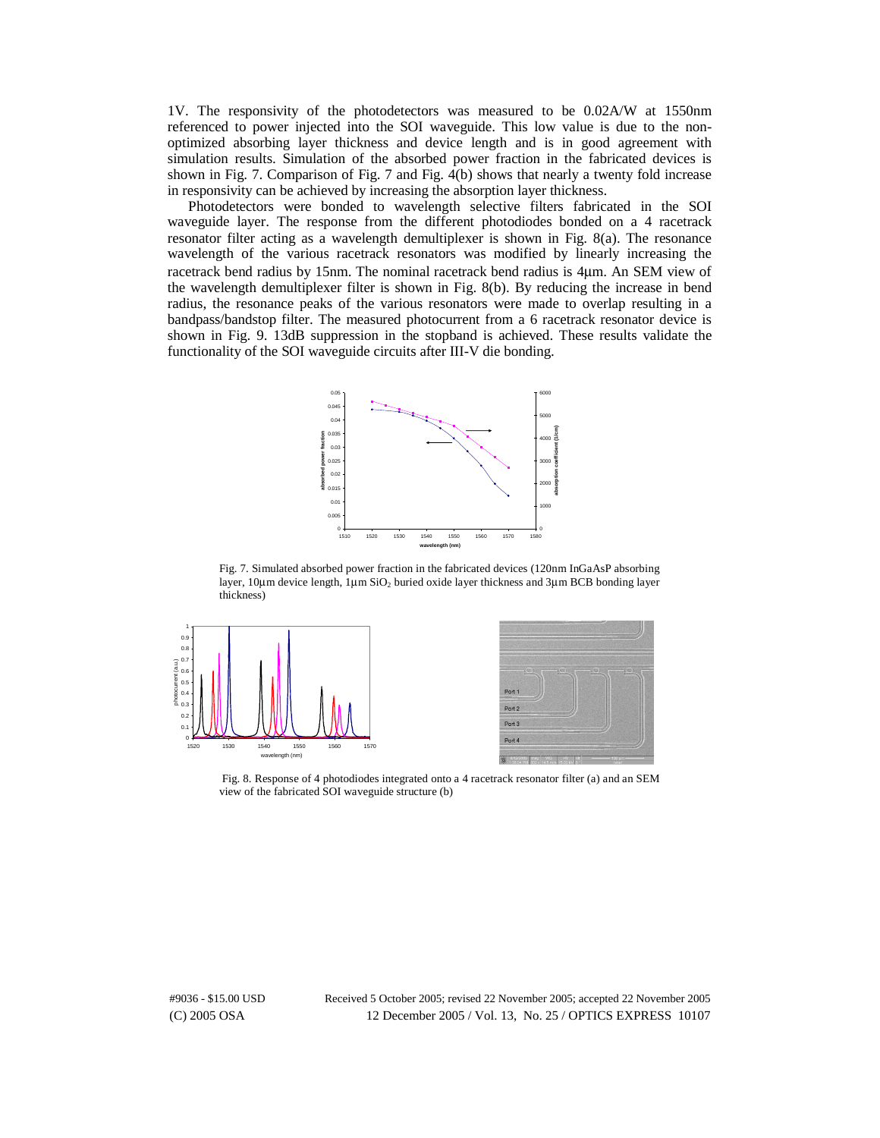1V. The responsivity of the photodetectors was measured to be 0.02A/W at 1550nm referenced to power injected into the SOI waveguide. This low value is due to the nonoptimized absorbing layer thickness and device length and is in good agreement with simulation results. Simulation of the absorbed power fraction in the fabricated devices is shown in Fig. 7. Comparison of Fig. 7 and Fig. 4(b) shows that nearly a twenty fold increase in responsivity can be achieved by increasing the absorption layer thickness.

Photodetectors were bonded to wavelength selective filters fabricated in the SOI waveguide layer. The response from the different photodiodes bonded on a 4 racetrack resonator filter acting as a wavelength demultiplexer is shown in Fig. 8(a). The resonance wavelength of the various racetrack resonators was modified by linearly increasing the racetrack bend radius by 15nm. The nominal racetrack bend radius is 4μm. An SEM view of the wavelength demultiplexer filter is shown in Fig. 8(b). By reducing the increase in bend radius, the resonance peaks of the various resonators were made to overlap resulting in a bandpass/bandstop filter. The measured photocurrent from a 6 racetrack resonator device is shown in Fig. 9. 13dB suppression in the stopband is achieved. These results validate the functionality of the SOI waveguide circuits after III-V die bonding.



Fig. 7. Simulated absorbed power fraction in the fabricated devices (120nm InGaAsP absorbing layer, 10μm device length, 1μm SiO<sub>2</sub> buried oxide layer thickness and 3μm BCB bonding layer thickness)





 Fig. 8. Response of 4 photodiodes integrated onto a 4 racetrack resonator filter (a) and an SEM view of the fabricated SOI waveguide structure (b)